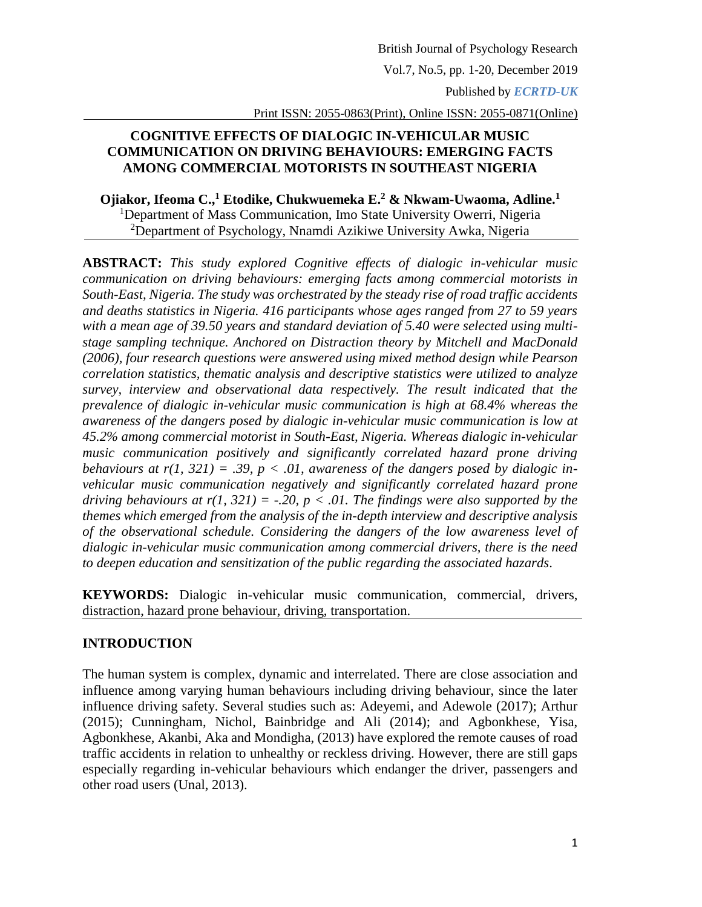Vol.7, No.5, pp. 1-20, December 2019

Published by *ECRTD-UK*

Print ISSN: 2055-0863(Print), Online ISSN: 2055-0871(Online)

### **COGNITIVE EFFECTS OF DIALOGIC IN-VEHICULAR MUSIC COMMUNICATION ON DRIVING BEHAVIOURS: EMERGING FACTS AMONG COMMERCIAL MOTORISTS IN SOUTHEAST NIGERIA**

**Ojiakor, Ifeoma C., <sup>1</sup> Etodike, Chukwuemeka E.<sup>2</sup> & Nkwam-Uwaoma, Adline. 1** <sup>1</sup>Department of Mass Communication, Imo State University Owerri, Nigeria <sup>2</sup>Department of Psychology, Nnamdi Azikiwe University Awka, Nigeria

**ABSTRACT:** *This study explored Cognitive effects of dialogic in-vehicular music communication on driving behaviours: emerging facts among commercial motorists in South-East, Nigeria. The study was orchestrated by the steady rise of road traffic accidents and deaths statistics in Nigeria. 416 participants whose ages ranged from 27 to 59 years with a mean age of 39.50 years and standard deviation of 5.40 were selected using multistage sampling technique. Anchored on Distraction theory by Mitchell and MacDonald (2006), four research questions were answered using mixed method design while Pearson correlation statistics, thematic analysis and descriptive statistics were utilized to analyze survey, interview and observational data respectively. The result indicated that the prevalence of dialogic in-vehicular music communication is high at 68.4% whereas the awareness of the dangers posed by dialogic in-vehicular music communication is low at 45.2% among commercial motorist in South-East, Nigeria. Whereas dialogic in-vehicular music communication positively and significantly correlated hazard prone driving behaviours at r(1, 321)* = .39,  $p < .01$ , awareness of the dangers posed by dialogic in*vehicular music communication negatively and significantly correlated hazard prone driving behaviours at r(1, 321) = -.20, p < .01. The findings were also supported by the themes which emerged from the analysis of the in-depth interview and descriptive analysis of the observational schedule. Considering the dangers of the low awareness level of dialogic in-vehicular music communication among commercial drivers, there is the need to deepen education and sensitization of the public regarding the associated hazards*.

**KEYWORDS:** Dialogic in-vehicular music communication, commercial, drivers, distraction, hazard prone behaviour, driving, transportation.

### **INTRODUCTION**

The human system is complex, dynamic and interrelated. There are close association and influence among varying human behaviours including driving behaviour, since the later influence driving safety. Several studies such as: Adeyemi, and Adewole (2017); Arthur (2015); Cunningham, Nichol, Bainbridge and Ali (2014); and Agbonkhese, Yisa, Agbonkhese, Akanbi, Aka and Mondigha, (2013) have explored the remote causes of road traffic accidents in relation to unhealthy or reckless driving. However, there are still gaps especially regarding in-vehicular behaviours which endanger the driver, passengers and other road users (Unal, 2013).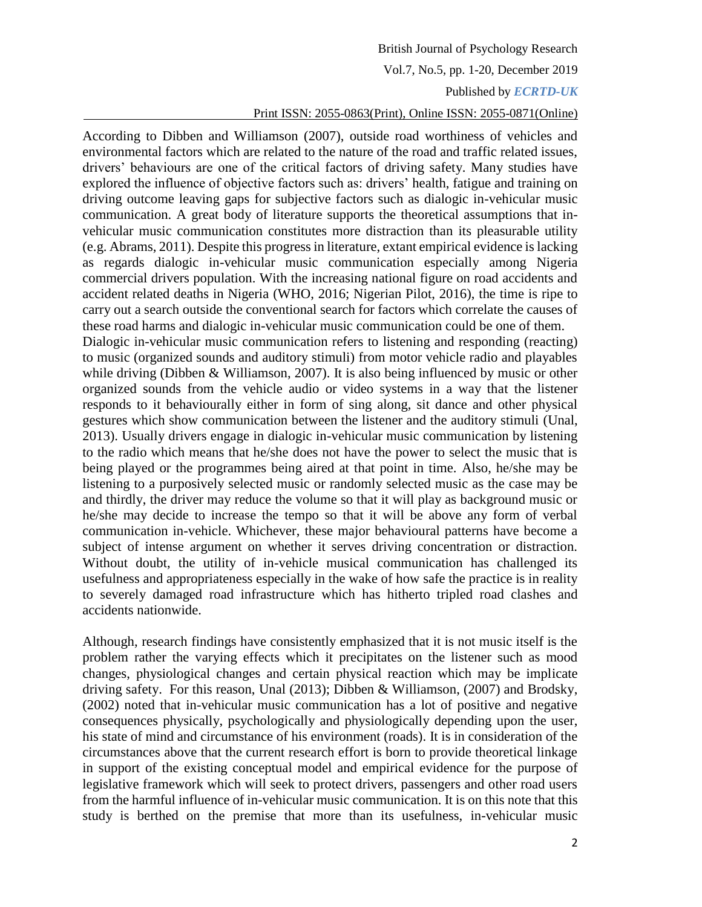# British Journal of Psychology Research Vol.7, No.5, pp. 1-20, December 2019 Published by *ECRTD-UK*

## Print ISSN: 2055-0863(Print), Online ISSN: 2055-0871(Online)

According to Dibben and Williamson (2007), outside road worthiness of vehicles and environmental factors which are related to the nature of the road and traffic related issues, drivers' behaviours are one of the critical factors of driving safety. Many studies have explored the influence of objective factors such as: drivers' health, fatigue and training on driving outcome leaving gaps for subjective factors such as dialogic in-vehicular music communication. A great body of literature supports the theoretical assumptions that invehicular music communication constitutes more distraction than its pleasurable utility (e.g. Abrams, 2011). Despite this progress in literature, extant empirical evidence is lacking as regards dialogic in-vehicular music communication especially among Nigeria commercial drivers population. With the increasing national figure on road accidents and accident related deaths in Nigeria (WHO, 2016; Nigerian Pilot, 2016), the time is ripe to carry out a search outside the conventional search for factors which correlate the causes of these road harms and dialogic in-vehicular music communication could be one of them. Dialogic in-vehicular music communication refers to listening and responding (reacting) to music (organized sounds and auditory stimuli) from motor vehicle radio and playables while driving (Dibben & Williamson, 2007). It is also being influenced by music or other organized sounds from the vehicle audio or video systems in a way that the listener responds to it behaviourally either in form of sing along, sit dance and other physical gestures which show communication between the listener and the auditory stimuli (Unal, 2013). Usually drivers engage in dialogic in-vehicular music communication by listening to the radio which means that he/she does not have the power to select the music that is being played or the programmes being aired at that point in time. Also, he/she may be listening to a purposively selected music or randomly selected music as the case may be and thirdly, the driver may reduce the volume so that it will play as background music or he/she may decide to increase the tempo so that it will be above any form of verbal communication in-vehicle. Whichever, these major behavioural patterns have become a subject of intense argument on whether it serves driving concentration or distraction. Without doubt, the utility of in-vehicle musical communication has challenged its usefulness and appropriateness especially in the wake of how safe the practice is in reality to severely damaged road infrastructure which has hitherto tripled road clashes and accidents nationwide.

Although, research findings have consistently emphasized that it is not music itself is the problem rather the varying effects which it precipitates on the listener such as mood changes, physiological changes and certain physical reaction which may be implicate driving safety. For this reason, Unal (2013); Dibben & Williamson, (2007) and Brodsky, (2002) noted that in-vehicular music communication has a lot of positive and negative consequences physically, psychologically and physiologically depending upon the user, his state of mind and circumstance of his environment (roads). It is in consideration of the circumstances above that the current research effort is born to provide theoretical linkage in support of the existing conceptual model and empirical evidence for the purpose of legislative framework which will seek to protect drivers, passengers and other road users from the harmful influence of in-vehicular music communication. It is on this note that this study is berthed on the premise that more than its usefulness, in-vehicular music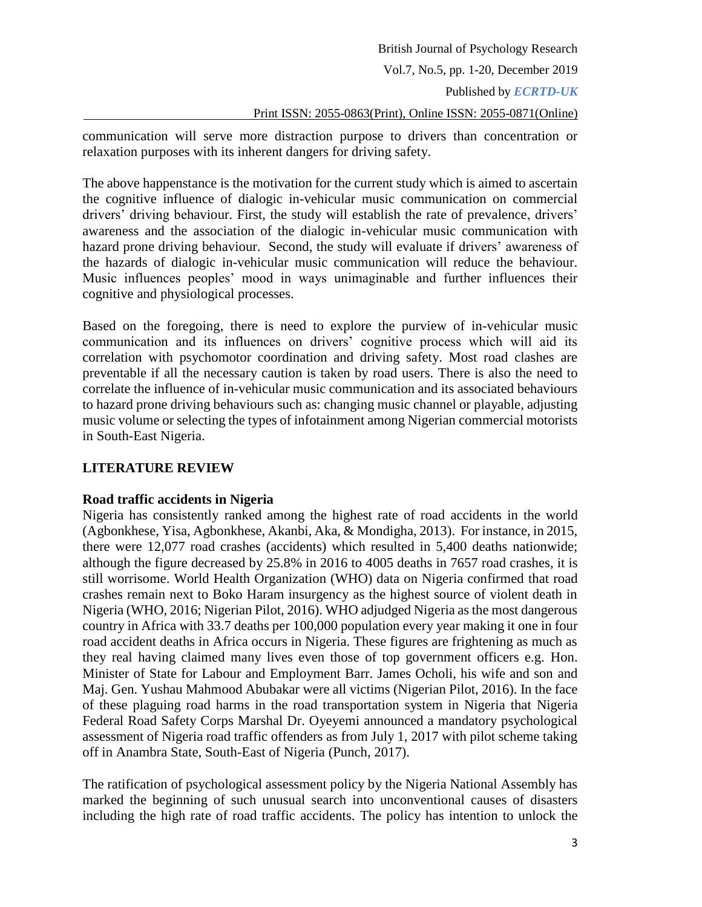communication will serve more distraction purpose to drivers than concentration or relaxation purposes with its inherent dangers for driving safety.

The above happenstance is the motivation for the current study which is aimed to ascertain the cognitive influence of dialogic in-vehicular music communication on commercial drivers' driving behaviour. First, the study will establish the rate of prevalence, drivers' awareness and the association of the dialogic in-vehicular music communication with hazard prone driving behaviour. Second, the study will evaluate if drivers' awareness of the hazards of dialogic in-vehicular music communication will reduce the behaviour. Music influences peoples' mood in ways unimaginable and further influences their cognitive and physiological processes.

Based on the foregoing, there is need to explore the purview of in-vehicular music communication and its influences on drivers' cognitive process which will aid its correlation with psychomotor coordination and driving safety. Most road clashes are preventable if all the necessary caution is taken by road users. There is also the need to correlate the influence of in-vehicular music communication and its associated behaviours to hazard prone driving behaviours such as: changing music channel or playable, adjusting music volume or selecting the types of infotainment among Nigerian commercial motorists in South-East Nigeria.

### **LITERATURE REVIEW**

### **Road traffic accidents in Nigeria**

Nigeria has consistently ranked among the highest rate of road accidents in the world (Agbonkhese, Yisa, Agbonkhese, Akanbi, Aka, & Mondigha, 2013). For instance, in 2015, there were 12,077 road crashes (accidents) which resulted in 5,400 deaths nationwide; although the figure decreased by 25.8% in 2016 to 4005 deaths in 7657 road crashes, it is still worrisome. World Health Organization (WHO) data on Nigeria confirmed that road crashes remain next to Boko Haram insurgency as the highest source of violent death in Nigeria (WHO, 2016; Nigerian Pilot, 2016). WHO adjudged Nigeria as the most dangerous country in Africa with 33.7 deaths per 100,000 population every year making it one in four road accident deaths in Africa occurs in Nigeria. These figures are frightening as much as they real having claimed many lives even those of top government officers e.g. Hon. Minister of State for Labour and Employment Barr. James Ocholi, his wife and son and Maj. Gen. Yushau Mahmood Abubakar were all victims (Nigerian Pilot, 2016). In the face of these plaguing road harms in the road transportation system in Nigeria that Nigeria Federal Road Safety Corps Marshal Dr. Oyeyemi announced a mandatory psychological assessment of Nigeria road traffic offenders as from July 1, 2017 with pilot scheme taking off in Anambra State, South-East of Nigeria (Punch, 2017).

The ratification of psychological assessment policy by the Nigeria National Assembly has marked the beginning of such unusual search into unconventional causes of disasters including the high rate of road traffic accidents. The policy has intention to unlock the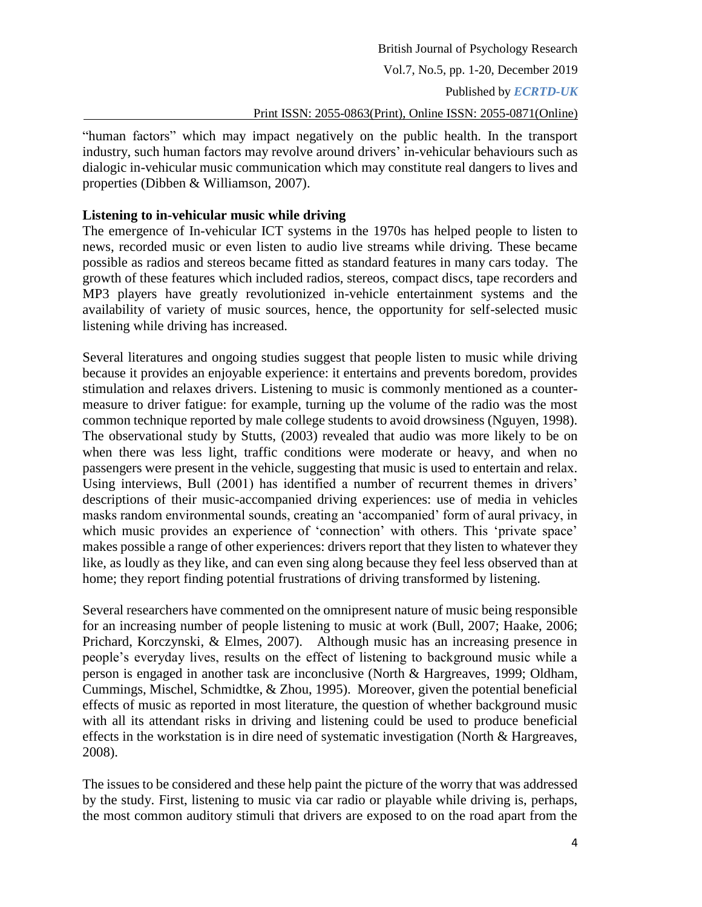"human factors" which may impact negatively on the public health. In the transport industry, such human factors may revolve around drivers' in-vehicular behaviours such as dialogic in-vehicular music communication which may constitute real dangers to lives and properties (Dibben & Williamson, 2007).

### **Listening to in-vehicular music while driving**

The emergence of In-vehicular ICT systems in the 1970s has helped people to listen to news, recorded music or even listen to audio live streams while driving. These became possible as radios and stereos became fitted as standard features in many cars today. The growth of these features which included radios, stereos, compact discs, tape recorders and MP3 players have greatly revolutionized in-vehicle entertainment systems and the availability of variety of music sources, hence, the opportunity for self-selected music listening while driving has increased.

Several literatures and ongoing studies suggest that people listen to music while driving because it provides an enjoyable experience: it entertains and prevents boredom, provides stimulation and relaxes drivers. Listening to music is commonly mentioned as a countermeasure to driver fatigue: for example, turning up the volume of the radio was the most common technique reported by male college students to avoid drowsiness (Nguyen, 1998). The observational study by Stutts, (2003) revealed that audio was more likely to be on when there was less light, traffic conditions were moderate or heavy, and when no passengers were present in the vehicle, suggesting that music is used to entertain and relax. Using interviews, Bull (2001) has identified a number of recurrent themes in drivers' descriptions of their music-accompanied driving experiences: use of media in vehicles masks random environmental sounds, creating an 'accompanied' form of aural privacy, in which music provides an experience of 'connection' with others. This 'private space' makes possible a range of other experiences: drivers report that they listen to whatever they like, as loudly as they like, and can even sing along because they feel less observed than at home; they report finding potential frustrations of driving transformed by listening.

Several researchers have commented on the omnipresent nature of music being responsible for an increasing number of people listening to music at work (Bull, 2007; Haake, 2006; Prichard, Korczynski, & Elmes, 2007). Although music has an increasing presence in people's everyday lives, results on the effect of listening to background music while a person is engaged in another task are inconclusive (North & Hargreaves, 1999; Oldham, Cummings, Mischel, Schmidtke, & Zhou, 1995). Moreover, given the potential beneficial effects of music as reported in most literature, the question of whether background music with all its attendant risks in driving and listening could be used to produce beneficial effects in the workstation is in dire need of systematic investigation (North & Hargreaves, 2008).

The issues to be considered and these help paint the picture of the worry that was addressed by the study. First, listening to music via car radio or playable while driving is, perhaps, the most common auditory stimuli that drivers are exposed to on the road apart from the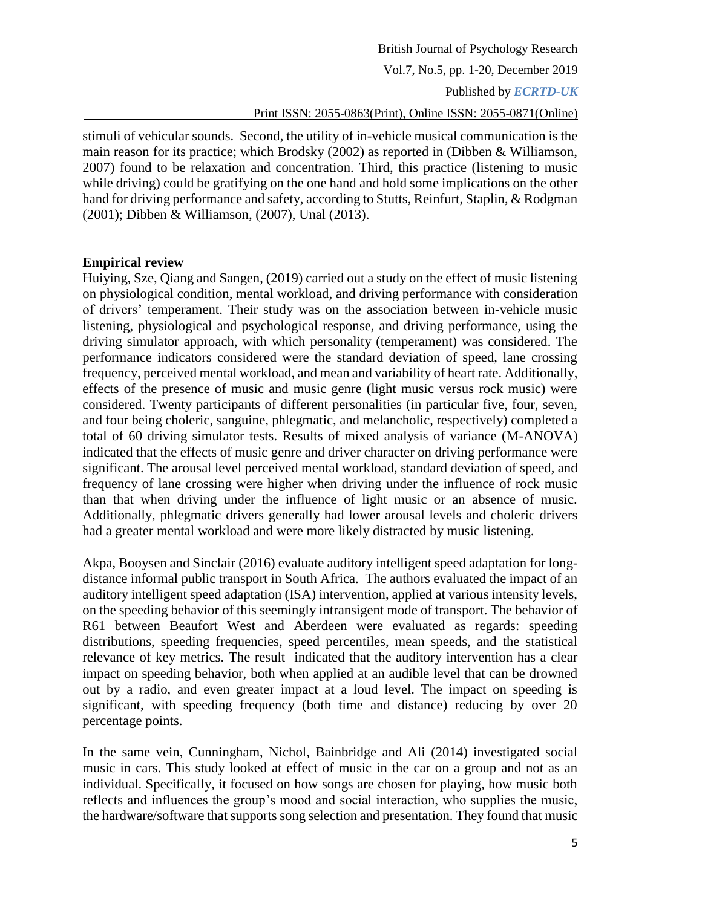stimuli of vehicular sounds. Second, the utility of in-vehicle musical communication is the main reason for its practice; which Brodsky (2002) as reported in (Dibben & Williamson, 2007) found to be relaxation and concentration. Third, this practice (listening to music while driving) could be gratifying on the one hand and hold some implications on the other hand for driving performance and safety, according to Stutts, Reinfurt, Staplin, & Rodgman (2001); Dibben & Williamson, (2007), Unal (2013).

#### **Empirical review**

Huiying, Sze, Qiang and Sangen, (2019) carried out a study on the effect of music listening on physiological condition, mental workload, and driving performance with consideration of drivers' temperament. Their study was on the association between in-vehicle music listening, physiological and psychological response, and driving performance, using the driving simulator approach, with which personality (temperament) was considered. The performance indicators considered were the standard deviation of speed, lane crossing frequency, perceived mental workload, and mean and variability of heart rate. Additionally, effects of the presence of music and music genre (light music versus rock music) were considered. Twenty participants of different personalities (in particular five, four, seven, and four being choleric, sanguine, phlegmatic, and melancholic, respectively) completed a total of 60 driving simulator tests. Results of mixed analysis of variance (M-ANOVA) indicated that the effects of music genre and driver character on driving performance were significant. The arousal level perceived mental workload, standard deviation of speed, and frequency of lane crossing were higher when driving under the influence of rock music than that when driving under the influence of light music or an absence of music. Additionally, phlegmatic drivers generally had lower arousal levels and choleric drivers had a greater mental workload and were more likely distracted by music listening.

Akpa, Booysen and Sinclair (2016) evaluate auditory intelligent speed adaptation for longdistance informal public transport in South Africa. The authors evaluated the impact of an auditory intelligent speed adaptation (ISA) intervention, applied at various intensity levels, on the speeding behavior of this seemingly intransigent mode of transport. The behavior of R61 between Beaufort West and Aberdeen were evaluated as regards: speeding distributions, speeding frequencies, speed percentiles, mean speeds, and the statistical relevance of key metrics. The result indicated that the auditory intervention has a clear impact on speeding behavior, both when applied at an audible level that can be drowned out by a radio, and even greater impact at a loud level. The impact on speeding is significant, with speeding frequency (both time and distance) reducing by over 20 percentage points.

In the same vein, Cunningham, Nichol, Bainbridge and Ali (2014) investigated social music in cars. This study looked at effect of music in the car on a group and not as an individual. Specifically, it focused on how songs are chosen for playing, how music both reflects and influences the group's mood and social interaction, who supplies the music, the hardware/software that supports song selection and presentation. They found that music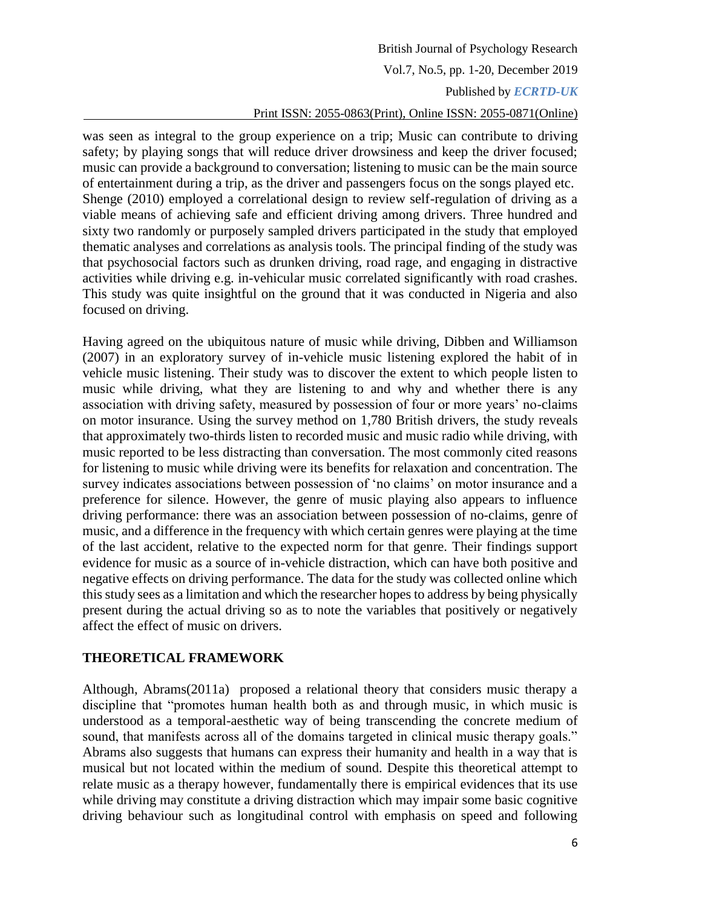was seen as integral to the group experience on a trip; Music can contribute to driving safety; by playing songs that will reduce driver drowsiness and keep the driver focused; music can provide a background to conversation; listening to music can be the main source of entertainment during a trip, as the driver and passengers focus on the songs played etc. Shenge (2010) employed a correlational design to review self-regulation of driving as a viable means of achieving safe and efficient driving among drivers. Three hundred and sixty two randomly or purposely sampled drivers participated in the study that employed thematic analyses and correlations as analysis tools. The principal finding of the study was that psychosocial factors such as drunken driving, road rage, and engaging in distractive activities while driving e.g. in-vehicular music correlated significantly with road crashes. This study was quite insightful on the ground that it was conducted in Nigeria and also focused on driving.

Having agreed on the ubiquitous nature of music while driving, Dibben and Williamson (2007) in an exploratory survey of in-vehicle music listening explored the habit of in vehicle music listening. Their study was to discover the extent to which people listen to music while driving, what they are listening to and why and whether there is any association with driving safety, measured by possession of four or more years' no-claims on motor insurance. Using the survey method on 1,780 British drivers, the study reveals that approximately two-thirds listen to recorded music and music radio while driving, with music reported to be less distracting than conversation. The most commonly cited reasons for listening to music while driving were its benefits for relaxation and concentration. The survey indicates associations between possession of 'no claims' on motor insurance and a preference for silence. However, the genre of music playing also appears to influence driving performance: there was an association between possession of no-claims, genre of music, and a difference in the frequency with which certain genres were playing at the time of the last accident, relative to the expected norm for that genre. Their findings support evidence for music as a source of in-vehicle distraction, which can have both positive and negative effects on driving performance. The data for the study was collected online which this study sees as a limitation and which the researcher hopes to address by being physically present during the actual driving so as to note the variables that positively or negatively affect the effect of music on drivers.

### **THEORETICAL FRAMEWORK**

Although, Abrams(2011a) proposed a relational theory that considers music therapy a discipline that "promotes human health both as and through music, in which music is understood as a temporal-aesthetic way of being transcending the concrete medium of sound, that manifests across all of the domains targeted in clinical music therapy goals." Abrams also suggests that humans can express their humanity and health in a way that is musical but not located within the medium of sound. Despite this theoretical attempt to relate music as a therapy however, fundamentally there is empirical evidences that its use while driving may constitute a driving distraction which may impair some basic cognitive driving behaviour such as longitudinal control with emphasis on speed and following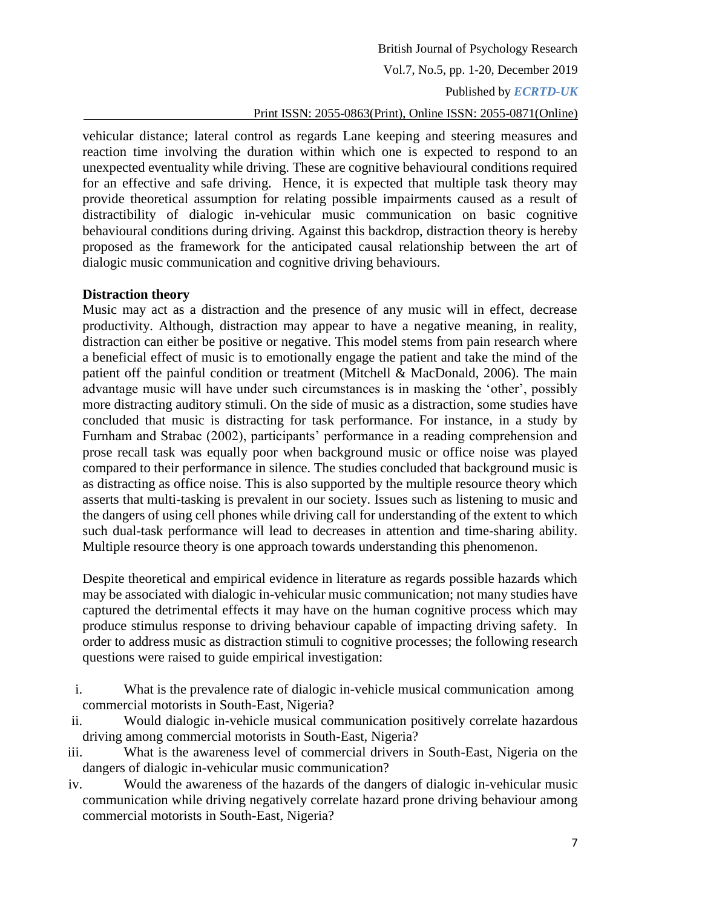vehicular distance; lateral control as regards Lane keeping and steering measures and reaction time involving the duration within which one is expected to respond to an unexpected eventuality while driving. These are cognitive behavioural conditions required for an effective and safe driving. Hence, it is expected that multiple task theory may provide theoretical assumption for relating possible impairments caused as a result of distractibility of dialogic in-vehicular music communication on basic cognitive behavioural conditions during driving. Against this backdrop, distraction theory is hereby proposed as the framework for the anticipated causal relationship between the art of dialogic music communication and cognitive driving behaviours.

### **Distraction theory**

Music may act as a distraction and the presence of any music will in effect, decrease productivity. Although, distraction may appear to have a negative meaning, in reality, distraction can either be positive or negative. This model stems from pain research where a beneficial effect of music is to emotionally engage the patient and take the mind of the patient off the painful condition or treatment (Mitchell & MacDonald, 2006). The main advantage music will have under such circumstances is in masking the 'other', possibly more distracting auditory stimuli. On the side of music as a distraction, some studies have concluded that music is distracting for task performance. For instance, in a study by Furnham and Strabac (2002), participants' performance in a reading comprehension and prose recall task was equally poor when background music or office noise was played compared to their performance in silence. The studies concluded that background music is as distracting as office noise. This is also supported by the multiple resource theory which asserts that multi-tasking is prevalent in our society. Issues such as listening to music and the dangers of using cell phones while driving call for understanding of the extent to which such dual-task performance will lead to decreases in attention and time-sharing ability. Multiple resource theory is one approach towards understanding this phenomenon.

Despite theoretical and empirical evidence in literature as regards possible hazards which may be associated with dialogic in-vehicular music communication; not many studies have captured the detrimental effects it may have on the human cognitive process which may produce stimulus response to driving behaviour capable of impacting driving safety. In order to address music as distraction stimuli to cognitive processes; the following research questions were raised to guide empirical investigation:

- i. What is the prevalence rate of dialogic in-vehicle musical communication among commercial motorists in South-East, Nigeria?
- ii. Would dialogic in-vehicle musical communication positively correlate hazardous driving among commercial motorists in South-East, Nigeria?
- iii. What is the awareness level of commercial drivers in South-East, Nigeria on the dangers of dialogic in-vehicular music communication?
- iv. Would the awareness of the hazards of the dangers of dialogic in-vehicular music communication while driving negatively correlate hazard prone driving behaviour among commercial motorists in South-East, Nigeria?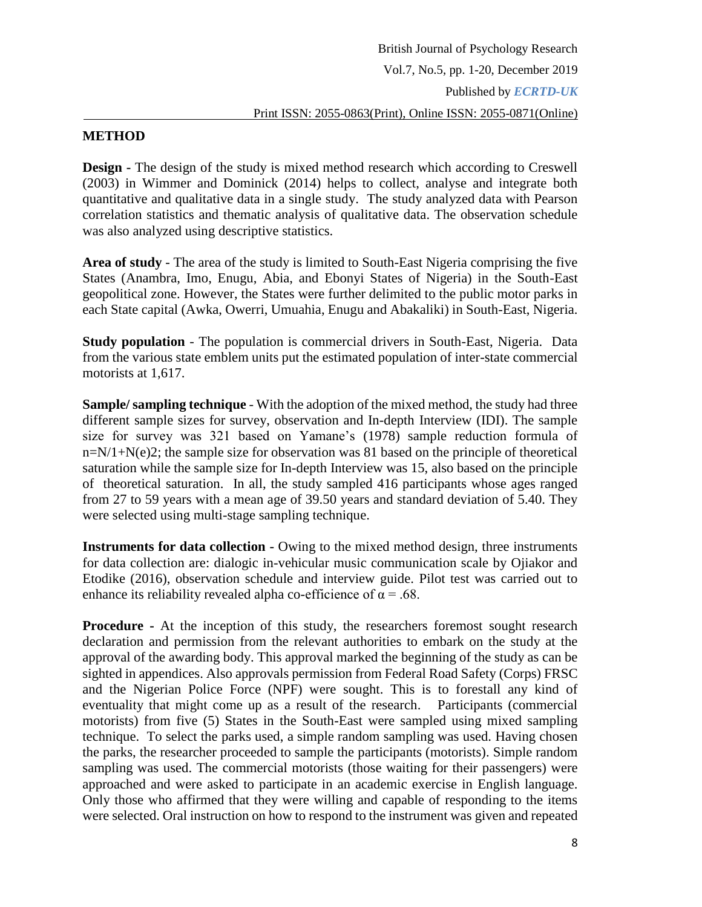### **METHOD**

**Design -** The design of the study is mixed method research which according to Creswell (2003) in Wimmer and Dominick (2014) helps to collect, analyse and integrate both quantitative and qualitative data in a single study. The study analyzed data with Pearson correlation statistics and thematic analysis of qualitative data. The observation schedule was also analyzed using descriptive statistics.

**Area of study** - The area of the study is limited to South-East Nigeria comprising the five States (Anambra, Imo, Enugu, Abia, and Ebonyi States of Nigeria) in the South-East geopolitical zone. However, the States were further delimited to the public motor parks in each State capital (Awka, Owerri, Umuahia, Enugu and Abakaliki) in South-East, Nigeria.

**Study population** - The population is commercial drivers in South-East, Nigeria. Data from the various state emblem units put the estimated population of inter-state commercial motorists at 1,617.

**Sample/ sampling technique** - With the adoption of the mixed method, the study had three different sample sizes for survey, observation and In-depth Interview (IDI). The sample size for survey was 321 based on Yamane's (1978) sample reduction formula of  $n=N/1+N(e)2$ ; the sample size for observation was 81 based on the principle of theoretical saturation while the sample size for In-depth Interview was 15, also based on the principle of theoretical saturation. In all, the study sampled 416 participants whose ages ranged from 27 to 59 years with a mean age of 39.50 years and standard deviation of 5.40. They were selected using multi-stage sampling technique.

**Instruments for data collection -** Owing to the mixed method design, three instruments for data collection are: dialogic in-vehicular music communication scale by Ojiakor and Etodike (2016), observation schedule and interview guide. Pilot test was carried out to enhance its reliability revealed alpha co-efficience of  $\alpha = .68$ .

**Procedure -** At the inception of this study, the researchers foremost sought research declaration and permission from the relevant authorities to embark on the study at the approval of the awarding body. This approval marked the beginning of the study as can be sighted in appendices. Also approvals permission from Federal Road Safety (Corps) FRSC and the Nigerian Police Force (NPF) were sought. This is to forestall any kind of eventuality that might come up as a result of the research. Participants (commercial motorists) from five (5) States in the South-East were sampled using mixed sampling technique. To select the parks used, a simple random sampling was used. Having chosen the parks, the researcher proceeded to sample the participants (motorists). Simple random sampling was used. The commercial motorists (those waiting for their passengers) were approached and were asked to participate in an academic exercise in English language. Only those who affirmed that they were willing and capable of responding to the items were selected. Oral instruction on how to respond to the instrument was given and repeated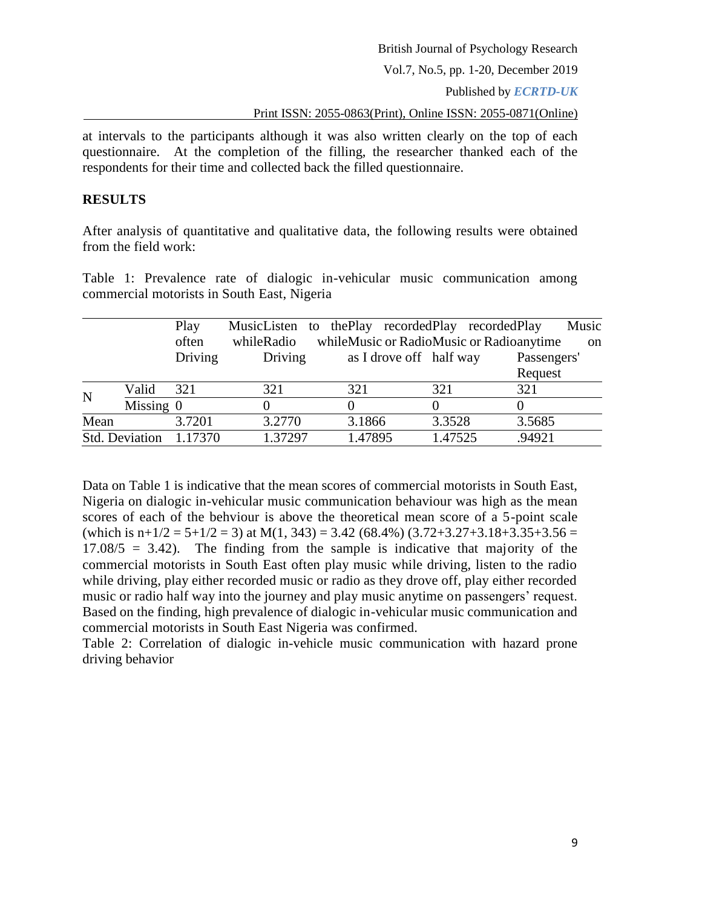Vol.7, No.5, pp. 1-20, December 2019

Published by *ECRTD-UK*

Print ISSN: 2055-0863(Print), Online ISSN: 2055-0871(Online)

at intervals to the participants although it was also written clearly on the top of each questionnaire. At the completion of the filling, the researcher thanked each of the respondents for their time and collected back the filled questionnaire.

### **RESULTS**

After analysis of quantitative and qualitative data, the following results were obtained from the field work:

Table 1: Prevalence rate of dialogic in-vehicular music communication among commercial motorists in South East, Nigeria

|             |                | Play<br>often | whileRadio | MusicListen to the Play recorded Play recorded Play<br>whileMusic or RadioMusic or Radioanytime |         | Music<br><sub>on</sub> |
|-------------|----------------|---------------|------------|-------------------------------------------------------------------------------------------------|---------|------------------------|
|             |                | Driving       | Driving    | as I drove off half way                                                                         |         | Passengers'            |
|             |                |               |            |                                                                                                 |         | Request                |
| $\mathbf N$ | Valid          | 321           | 321        | 321                                                                                             | 321     | 321                    |
|             | Missing $0$    |               |            |                                                                                                 |         |                        |
| Mean        |                | 3.7201        | 3.2770     | 3.1866                                                                                          | 3.3528  | 3.5685                 |
|             | Std. Deviation | 1.17370       | 1.37297    | 1.47895                                                                                         | 1.47525 | .94921                 |

Data on Table 1 is indicative that the mean scores of commercial motorists in South East, Nigeria on dialogic in-vehicular music communication behaviour was high as the mean scores of each of the behviour is above the theoretical mean score of a 5-point scale (which is  $n+1/2 = 5+1/2 = 3$ ) at  $M(1, 343) = 3.42$  (68.4%) (3.72+3.27+3.18+3.35+3.56 =  $17.08/5 = 3.42$ ). The finding from the sample is indicative that majority of the commercial motorists in South East often play music while driving, listen to the radio while driving, play either recorded music or radio as they drove off, play either recorded music or radio half way into the journey and play music anytime on passengers' request. Based on the finding, high prevalence of dialogic in-vehicular music communication and commercial motorists in South East Nigeria was confirmed.

Table 2: Correlation of dialogic in-vehicle music communication with hazard prone driving behavior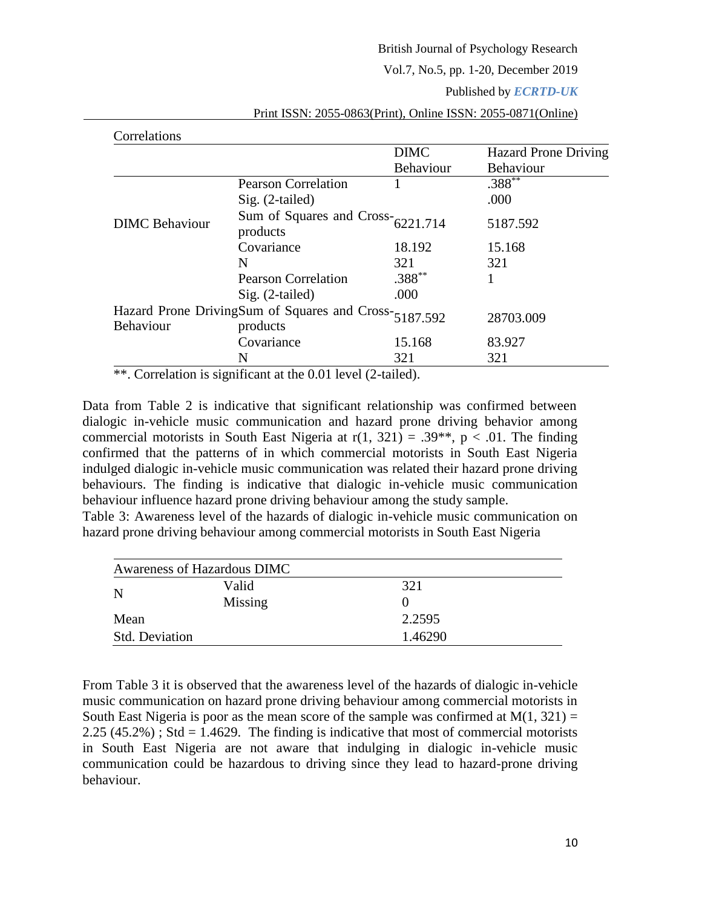#### Vol.7, No.5, pp. 1-20, December 2019

#### Published by *ECRTD-UK*

| Correlations          |                                                                   |             |                             |
|-----------------------|-------------------------------------------------------------------|-------------|-----------------------------|
|                       |                                                                   | <b>DIMC</b> | <b>Hazard Prone Driving</b> |
|                       |                                                                   | Behaviour   | Behaviour                   |
|                       | <b>Pearson Correlation</b>                                        |             | $.388**$                    |
|                       | $Sig. (2-tailed)$                                                 |             | .000                        |
| <b>DIMC</b> Behaviour | Sum of Squares and $Cross-6221.714$<br>products                   |             | 5187.592                    |
|                       | Covariance                                                        | 18.192      | 15.168                      |
|                       | N                                                                 | 321         | 321                         |
|                       | <b>Pearson Correlation</b>                                        | $.388**$    |                             |
|                       | $Sig. (2-tailed)$                                                 | .000        |                             |
| <b>Behaviour</b>      | Hazard Prone DrivingSum of Squares and Cross-5187.592<br>products |             | 28703.009                   |
|                       | Covariance                                                        | 15.168      | 83.927                      |
|                       | N                                                                 | 321         | 321                         |

Print ISSN: 2055-0863(Print), Online ISSN: 2055-0871(Online)

\*\*. Correlation is significant at the 0.01 level (2-tailed).

Data from Table 2 is indicative that significant relationship was confirmed between dialogic in-vehicle music communication and hazard prone driving behavior among commercial motorists in South East Nigeria at  $r(1, 321) = .39**$ ,  $p < .01$ . The finding confirmed that the patterns of in which commercial motorists in South East Nigeria indulged dialogic in-vehicle music communication was related their hazard prone driving behaviours. The finding is indicative that dialogic in-vehicle music communication behaviour influence hazard prone driving behaviour among the study sample.

Table 3: Awareness level of the hazards of dialogic in-vehicle music communication on hazard prone driving behaviour among commercial motorists in South East Nigeria

| Awareness of Hazardous DIMC |         |              |  |
|-----------------------------|---------|--------------|--|
| N                           | Valid   | 321          |  |
|                             | Missing | $\mathbf{0}$ |  |
| Mean                        |         | 2.2595       |  |
| <b>Std. Deviation</b>       |         | 1.46290      |  |

From Table 3 it is observed that the awareness level of the hazards of dialogic in-vehicle music communication on hazard prone driving behaviour among commercial motorists in South East Nigeria is poor as the mean score of the sample was confirmed at  $M(1, 321) =$  $2.25(45.2\%)$ ; Std = 1.4629. The finding is indicative that most of commercial motorists in South East Nigeria are not aware that indulging in dialogic in-vehicle music communication could be hazardous to driving since they lead to hazard-prone driving behaviour.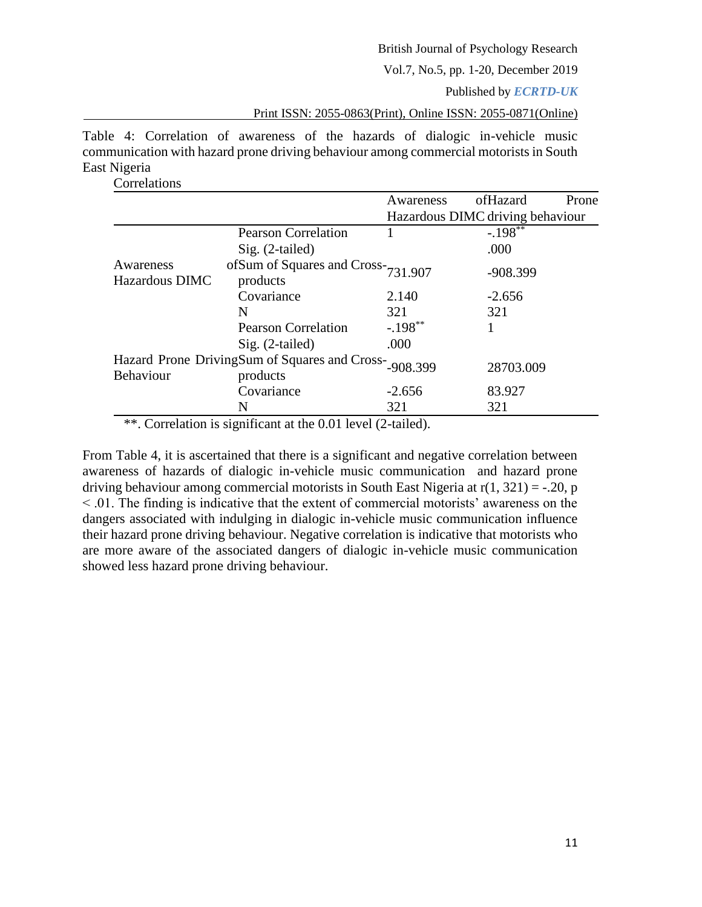Vol.7, No.5, pp. 1-20, December 2019

Published by *ECRTD-UK*

Print ISSN: 2055-0863(Print), Online ISSN: 2055-0871(Online)

Table 4: Correlation of awareness of the hazards of dialogic in-vehicle music communication with hazard prone driving behaviour among commercial motorists in South East Nigeria

Correlations

|                             |                                                           | Awareness  | ofHazard                         | Prone |
|-----------------------------|-----------------------------------------------------------|------------|----------------------------------|-------|
|                             |                                                           |            | Hazardous DIMC driving behaviour |       |
|                             | <b>Pearson Correlation</b>                                |            | $-.198***$                       |       |
|                             | $Sig. (2-tailed)$                                         |            | .000                             |       |
| Awareness<br>Hazardous DIMC | of Sum of Squares and Cross-731.907<br>products           |            | $-908.399$                       |       |
|                             | Covariance                                                | 2.140      | $-2.656$                         |       |
|                             | N                                                         | 321        | 321                              |       |
|                             | <b>Pearson Correlation</b>                                | $-.198***$ |                                  |       |
|                             | $Sig. (2-tailed)$                                         | .000       |                                  |       |
| <b>Behaviour</b>            | Hazard Prone DrivingSum of Squares and Cross-<br>products | $-908.399$ | 28703.009                        |       |
|                             | Covariance                                                | $-2.656$   | 83.927                           |       |
|                             | N                                                         | 321        | 321                              |       |

\*\*. Correlation is significant at the 0.01 level (2-tailed).

From Table 4, it is ascertained that there is a significant and negative correlation between awareness of hazards of dialogic in-vehicle music communication and hazard prone driving behaviour among commercial motorists in South East Nigeria at  $r(1, 321) = -.20$ , p < .01. The finding is indicative that the extent of commercial motorists' awareness on the dangers associated with indulging in dialogic in-vehicle music communication influence their hazard prone driving behaviour. Negative correlation is indicative that motorists who are more aware of the associated dangers of dialogic in-vehicle music communication showed less hazard prone driving behaviour.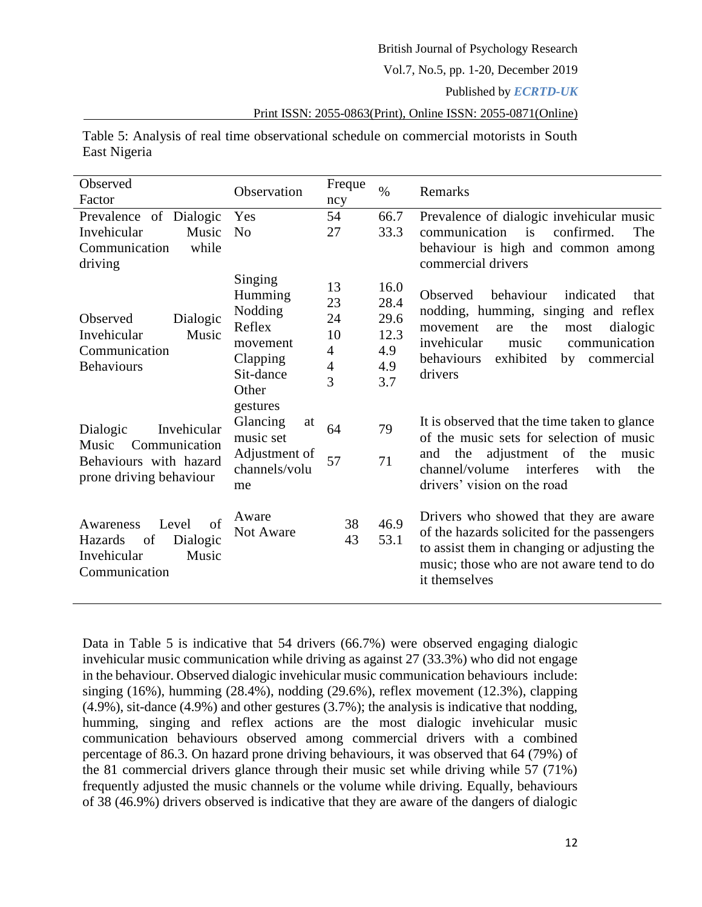Vol.7, No.5, pp. 1-20, December 2019

Published by *ECRTD-UK*

Print ISSN: 2055-0863(Print), Online ISSN: 2055-0871(Online)

Table 5: Analysis of real time observational schedule on commercial motorists in South East Nigeria

| Observed<br>Factor                                                                                     | Observation                                                                           | Freque<br>ncy                                                 | $\%$                                              | Remarks                                                                                                                                                                                                                             |
|--------------------------------------------------------------------------------------------------------|---------------------------------------------------------------------------------------|---------------------------------------------------------------|---------------------------------------------------|-------------------------------------------------------------------------------------------------------------------------------------------------------------------------------------------------------------------------------------|
| Prevalence of Dialogic<br>Invehicular<br>Music<br>while<br>Communication<br>driving                    | Yes<br>N <sub>0</sub>                                                                 | 54<br>27                                                      | 66.7<br>33.3                                      | Prevalence of dialogic invehicular music<br>communication<br>confirmed.<br>is<br>The<br>behaviour is high and common among<br>commercial drivers                                                                                    |
| Observed<br>Dialogic<br>Invehicular<br>Music<br>Communication<br><b>Behaviours</b>                     | Singing<br>Humming<br>Nodding<br>Reflex<br>movement<br>Clapping<br>Sit-dance<br>Other | 13<br>23<br>24<br>10<br>4<br>$\overline{4}$<br>$\overline{3}$ | 16.0<br>28.4<br>29.6<br>12.3<br>4.9<br>4.9<br>3.7 | behaviour<br>indicated<br>Observed<br>that<br>nodding, humming, singing and reflex<br>the<br>dialogic<br>movement<br>are<br>most<br>invehicular<br>communication<br>music<br>behaviours<br>exhibited<br>by<br>commercial<br>drivers |
| Invehicular<br>Dialogic<br>Communication<br>Music<br>Behaviours with hazard<br>prone driving behaviour | gestures<br>Glancing<br>at<br>music set<br>Adjustment of<br>channels/volu<br>me       | 64<br>57                                                      | 79<br>71                                          | It is observed that the time taken to glance<br>of the music sets for selection of music<br>the adjustment of<br>the<br>and<br>music<br>interferes<br>channel/volume<br>with<br>the<br>drivers' vision on the road                  |
| Level<br>of<br>Awareness<br>of<br>Dialogic<br>Hazards<br>Invehicular<br>Music<br>Communication         | Aware<br>Not Aware                                                                    | 38<br>43                                                      | 46.9<br>53.1                                      | Drivers who showed that they are aware<br>of the hazards solicited for the passengers<br>to assist them in changing or adjusting the<br>music; those who are not aware tend to do<br>it themselves                                  |

Data in Table 5 is indicative that 54 drivers (66.7%) were observed engaging dialogic invehicular music communication while driving as against 27 (33.3%) who did not engage in the behaviour. Observed dialogic invehicular music communication behaviours include: singing (16%), humming (28.4%), nodding (29.6%), reflex movement (12.3%), clapping (4.9%), sit-dance (4.9%) and other gestures (3.7%); the analysis is indicative that nodding, humming, singing and reflex actions are the most dialogic invehicular music communication behaviours observed among commercial drivers with a combined percentage of 86.3. On hazard prone driving behaviours, it was observed that 64 (79%) of the 81 commercial drivers glance through their music set while driving while 57 (71%) frequently adjusted the music channels or the volume while driving. Equally, behaviours of 38 (46.9%) drivers observed is indicative that they are aware of the dangers of dialogic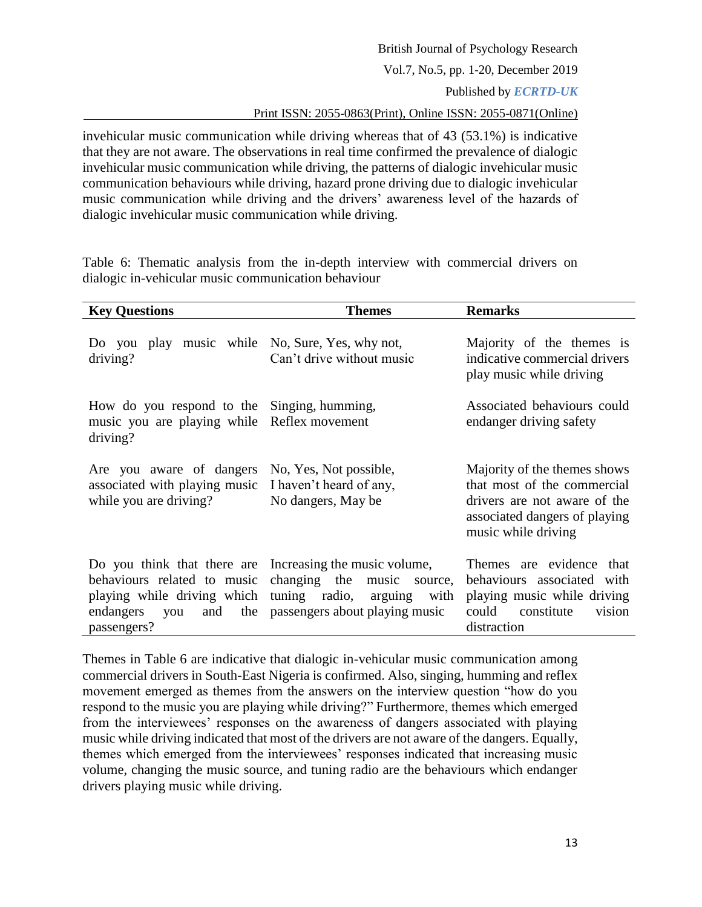invehicular music communication while driving whereas that of 43 (53.1%) is indicative that they are not aware. The observations in real time confirmed the prevalence of dialogic invehicular music communication while driving, the patterns of dialogic invehicular music communication behaviours while driving, hazard prone driving due to dialogic invehicular music communication while driving and the drivers' awareness level of the hazards of dialogic invehicular music communication while driving.

Table 6: Thematic analysis from the in-depth interview with commercial drivers on dialogic in-vehicular music communication behaviour

| <b>Key Questions</b>                                                                                                                                                                                          | <b>Themes</b>                                                           | <b>Remarks</b>                                                                                                                                      |
|---------------------------------------------------------------------------------------------------------------------------------------------------------------------------------------------------------------|-------------------------------------------------------------------------|-----------------------------------------------------------------------------------------------------------------------------------------------------|
| Do you<br>driving?                                                                                                                                                                                            | play music while No, Sure, Yes, why not,<br>Can't drive without music   | Majority of the themes is<br>indicative commercial drivers<br>play music while driving                                                              |
| How do you respond to the Singing, humming,<br>music you are playing while Reflex movement<br>driving?                                                                                                        |                                                                         | Associated behaviours could<br>endanger driving safety                                                                                              |
| Are you aware of dangers<br>associated with playing music<br>while you are driving?                                                                                                                           | No, Yes, Not possible,<br>I haven't heard of any,<br>No dangers, May be | Majority of the themes shows<br>that most of the commercial<br>drivers are not aware of the<br>associated dangers of playing<br>music while driving |
| Do you think that there are Increasing the music volume,<br>behaviours related to music changing the music<br>playing while driving which tuning radio, arguing<br>endangers you<br>the<br>and<br>passengers? | source,<br>with<br>passengers about playing music                       | Themes are evidence that<br>behaviours associated with<br>playing music while driving<br>could constitute<br>vision<br>distraction                  |

Themes in Table 6 are indicative that dialogic in-vehicular music communication among commercial drivers in South-East Nigeria is confirmed. Also, singing, humming and reflex movement emerged as themes from the answers on the interview question "how do you respond to the music you are playing while driving?" Furthermore, themes which emerged from the interviewees' responses on the awareness of dangers associated with playing music while driving indicated that most of the drivers are not aware of the dangers. Equally, themes which emerged from the interviewees' responses indicated that increasing music volume, changing the music source, and tuning radio are the behaviours which endanger drivers playing music while driving.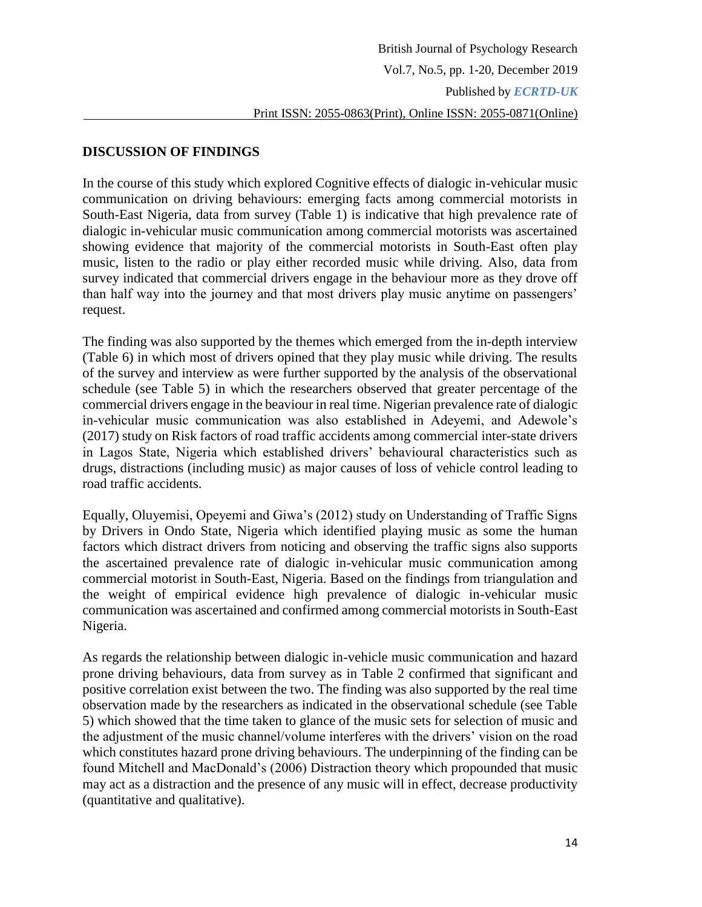### **DISCUSSION OF FINDINGS**

In the course of this study which explored Cognitive effects of dialogic in-vehicular music communication on driving behaviours: emerging facts among commercial motorists in South-East Nigeria, data from survey (Table 1) is indicative that high prevalence rate of dialogic in-vehicular music communication among commercial motorists was ascertained showing evidence that majority of the commercial motorists in South-East often play music, listen to the radio or play either recorded music while driving. Also, data from survey indicated that commercial drivers engage in the behaviour more as they drove off than half way into the journey and that most drivers play music anytime on passengers' request.

The finding was also supported by the themes which emerged from the in-depth interview (Table 6) in which most of drivers opined that they play music while driving. The results of the survey and interview as were further supported by the analysis of the observational schedule (see Table 5) in which the researchers observed that greater percentage of the commercial drivers engage in the beaviour in real time. Nigerian prevalence rate of dialogic in-vehicular music communication was also established in Adeyemi, and Adewole's (2017) study on Risk factors of road traffic accidents among commercial inter-state drivers in Lagos State, Nigeria which established drivers' behavioural characteristics such as drugs, distractions (including music) as major causes of loss of vehicle control leading to road traffic accidents.

Equally, Oluyemisi, Opeyemi and Giwa's (2012) study on Understanding of Traffic Signs by Drivers in Ondo State, Nigeria which identified playing music as some the human factors which distract drivers from noticing and observing the traffic signs also supports the ascertained prevalence rate of dialogic in-vehicular music communication among commercial motorist in South-East, Nigeria. Based on the findings from triangulation and the weight of empirical evidence high prevalence of dialogic in-vehicular music communication was ascertained and confirmed among commercial motorists in South-East Nigeria.

As regards the relationship between dialogic in-vehicle music communication and hazard prone driving behaviours, data from survey as in Table 2 confirmed that significant and positive correlation exist between the two. The finding was also supported by the real time observation made by the researchers as indicated in the observational schedule (see Table 5) which showed that the time taken to glance of the music sets for selection of music and the adjustment of the music channel/volume interferes with the drivers' vision on the road which constitutes hazard prone driving behaviours. The underpinning of the finding can be found Mitchell and MacDonald's (2006) Distraction theory which propounded that music may act as a distraction and the presence of any music will in effect, decrease productivity (quantitative and qualitative).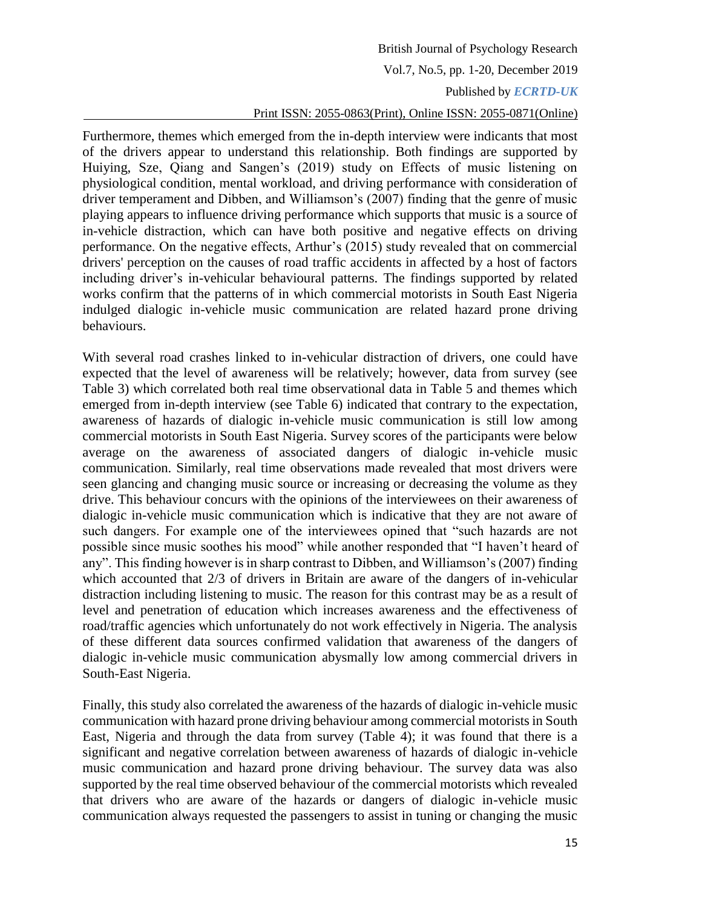Furthermore, themes which emerged from the in-depth interview were indicants that most of the drivers appear to understand this relationship. Both findings are supported by Huiying, Sze, Qiang and Sangen's (2019) study on Effects of music listening on physiological condition, mental workload, and driving performance with consideration of driver temperament and Dibben, and Williamson's (2007) finding that the genre of music playing appears to influence driving performance which supports that music is a source of in-vehicle distraction, which can have both positive and negative effects on driving performance. On the negative effects, Arthur's (2015) study revealed that on commercial drivers' perception on the causes of road traffic accidents in affected by a host of factors including driver's in-vehicular behavioural patterns. The findings supported by related works confirm that the patterns of in which commercial motorists in South East Nigeria indulged dialogic in-vehicle music communication are related hazard prone driving behaviours.

With several road crashes linked to in-vehicular distraction of drivers, one could have expected that the level of awareness will be relatively; however, data from survey (see Table 3) which correlated both real time observational data in Table 5 and themes which emerged from in-depth interview (see Table 6) indicated that contrary to the expectation, awareness of hazards of dialogic in-vehicle music communication is still low among commercial motorists in South East Nigeria. Survey scores of the participants were below average on the awareness of associated dangers of dialogic in-vehicle music communication. Similarly, real time observations made revealed that most drivers were seen glancing and changing music source or increasing or decreasing the volume as they drive. This behaviour concurs with the opinions of the interviewees on their awareness of dialogic in-vehicle music communication which is indicative that they are not aware of such dangers. For example one of the interviewees opined that "such hazards are not possible since music soothes his mood" while another responded that "I haven't heard of any". This finding however is in sharp contrast to Dibben, and Williamson's (2007) finding which accounted that 2/3 of drivers in Britain are aware of the dangers of in-vehicular distraction including listening to music. The reason for this contrast may be as a result of level and penetration of education which increases awareness and the effectiveness of road/traffic agencies which unfortunately do not work effectively in Nigeria. The analysis of these different data sources confirmed validation that awareness of the dangers of dialogic in-vehicle music communication abysmally low among commercial drivers in South-East Nigeria.

Finally, this study also correlated the awareness of the hazards of dialogic in-vehicle music communication with hazard prone driving behaviour among commercial motorists in South East, Nigeria and through the data from survey (Table 4); it was found that there is a significant and negative correlation between awareness of hazards of dialogic in-vehicle music communication and hazard prone driving behaviour. The survey data was also supported by the real time observed behaviour of the commercial motorists which revealed that drivers who are aware of the hazards or dangers of dialogic in-vehicle music communication always requested the passengers to assist in tuning or changing the music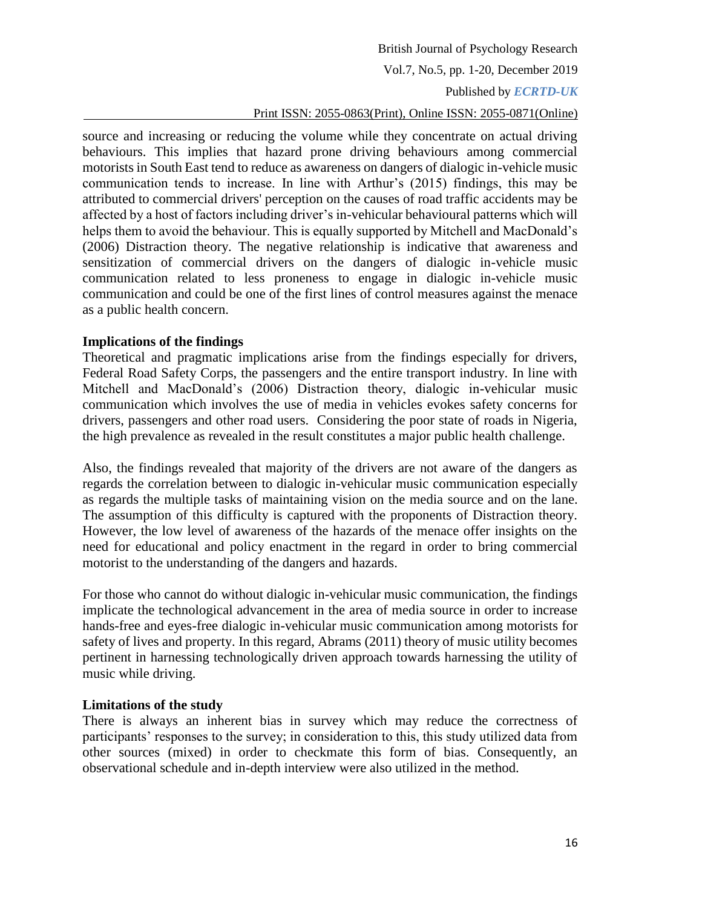source and increasing or reducing the volume while they concentrate on actual driving behaviours. This implies that hazard prone driving behaviours among commercial motorists in South East tend to reduce as awareness on dangers of dialogic in-vehicle music communication tends to increase. In line with Arthur's (2015) findings, this may be attributed to commercial drivers' perception on the causes of road traffic accidents may be affected by a host of factors including driver's in-vehicular behavioural patterns which will helps them to avoid the behaviour. This is equally supported by Mitchell and MacDonald's (2006) Distraction theory. The negative relationship is indicative that awareness and sensitization of commercial drivers on the dangers of dialogic in-vehicle music communication related to less proneness to engage in dialogic in-vehicle music communication and could be one of the first lines of control measures against the menace as a public health concern.

### **Implications of the findings**

Theoretical and pragmatic implications arise from the findings especially for drivers, Federal Road Safety Corps, the passengers and the entire transport industry. In line with Mitchell and MacDonald's (2006) Distraction theory, dialogic in-vehicular music communication which involves the use of media in vehicles evokes safety concerns for drivers, passengers and other road users. Considering the poor state of roads in Nigeria, the high prevalence as revealed in the result constitutes a major public health challenge.

Also, the findings revealed that majority of the drivers are not aware of the dangers as regards the correlation between to dialogic in-vehicular music communication especially as regards the multiple tasks of maintaining vision on the media source and on the lane. The assumption of this difficulty is captured with the proponents of Distraction theory. However, the low level of awareness of the hazards of the menace offer insights on the need for educational and policy enactment in the regard in order to bring commercial motorist to the understanding of the dangers and hazards.

For those who cannot do without dialogic in-vehicular music communication, the findings implicate the technological advancement in the area of media source in order to increase hands-free and eyes-free dialogic in-vehicular music communication among motorists for safety of lives and property. In this regard, Abrams (2011) theory of music utility becomes pertinent in harnessing technologically driven approach towards harnessing the utility of music while driving.

#### **Limitations of the study**

There is always an inherent bias in survey which may reduce the correctness of participants' responses to the survey; in consideration to this, this study utilized data from other sources (mixed) in order to checkmate this form of bias. Consequently, an observational schedule and in-depth interview were also utilized in the method.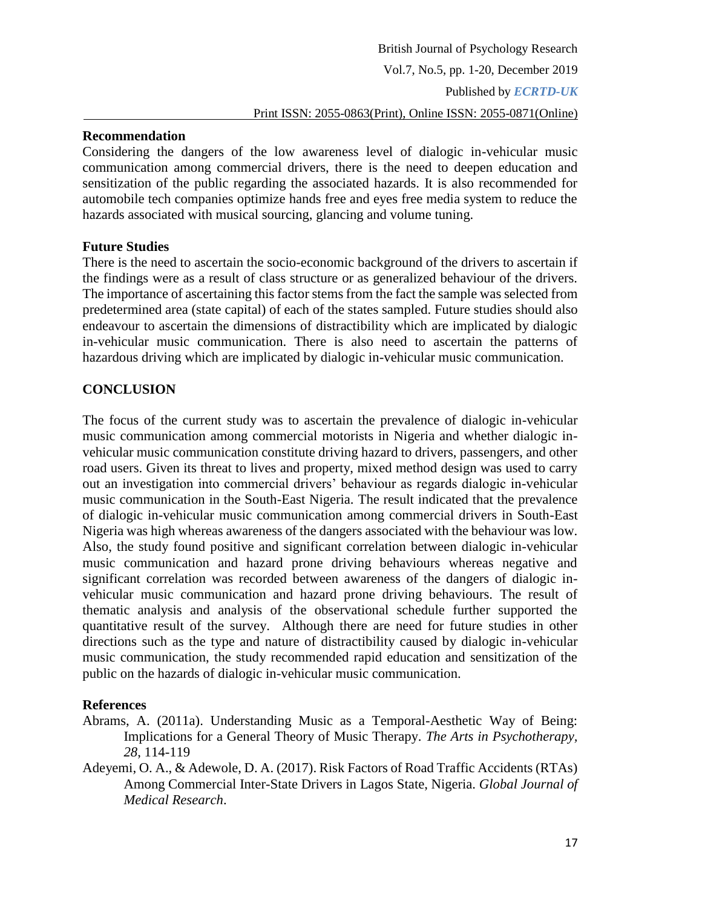### **Recommendation**

Considering the dangers of the low awareness level of dialogic in-vehicular music communication among commercial drivers, there is the need to deepen education and sensitization of the public regarding the associated hazards. It is also recommended for automobile tech companies optimize hands free and eyes free media system to reduce the hazards associated with musical sourcing, glancing and volume tuning.

### **Future Studies**

There is the need to ascertain the socio-economic background of the drivers to ascertain if the findings were as a result of class structure or as generalized behaviour of the drivers. The importance of ascertaining this factor stems from the fact the sample was selected from predetermined area (state capital) of each of the states sampled. Future studies should also endeavour to ascertain the dimensions of distractibility which are implicated by dialogic in-vehicular music communication. There is also need to ascertain the patterns of hazardous driving which are implicated by dialogic in-vehicular music communication.

# **CONCLUSION**

The focus of the current study was to ascertain the prevalence of dialogic in-vehicular music communication among commercial motorists in Nigeria and whether dialogic invehicular music communication constitute driving hazard to drivers, passengers, and other road users. Given its threat to lives and property, mixed method design was used to carry out an investigation into commercial drivers' behaviour as regards dialogic in-vehicular music communication in the South-East Nigeria. The result indicated that the prevalence of dialogic in-vehicular music communication among commercial drivers in South-East Nigeria was high whereas awareness of the dangers associated with the behaviour was low. Also, the study found positive and significant correlation between dialogic in-vehicular music communication and hazard prone driving behaviours whereas negative and significant correlation was recorded between awareness of the dangers of dialogic invehicular music communication and hazard prone driving behaviours. The result of thematic analysis and analysis of the observational schedule further supported the quantitative result of the survey. Although there are need for future studies in other directions such as the type and nature of distractibility caused by dialogic in-vehicular music communication, the study recommended rapid education and sensitization of the public on the hazards of dialogic in-vehicular music communication.

### **References**

- Abrams, A. (2011a). Understanding Music as a Temporal-Aesthetic Way of Being: Implications for a General Theory of Music Therapy. *The Arts in Psychotherapy, 28*, 114-119
- Adeyemi, O. A., & Adewole, D. A. (2017). Risk Factors of Road Traffic Accidents (RTAs) Among Commercial Inter-State Drivers in Lagos State, Nigeria. *Global Journal of Medical Research*.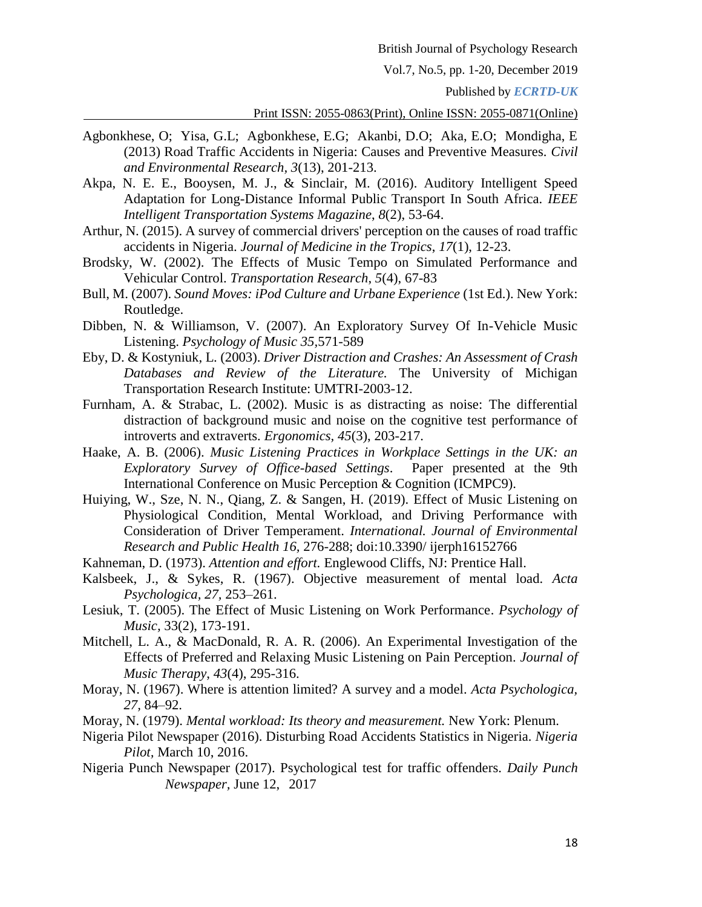Vol.7, No.5, pp. 1-20, December 2019

Published by *ECRTD-UK*

Print ISSN: 2055-0863(Print), Online ISSN: 2055-0871(Online)

- Agbonkhese, O; Yisa, G.L; Agbonkhese, E.G; Akanbi, D.O; Aka, E.O; Mondigha, E (2013) Road Traffic Accidents in Nigeria: Causes and Preventive Measures. *Civil and Environmental Research, 3*(13), 201-213.
- Akpa, N. E. E., Booysen, M. J., & Sinclair, M. (2016). Auditory Intelligent Speed Adaptation for Long-Distance Informal Public Transport In South Africa. *IEEE Intelligent Transportation Systems Magazine*, *8*(2), 53-64.
- Arthur, N. (2015). A survey of commercial drivers' perception on the causes of road traffic accidents in Nigeria. *Journal of Medicine in the Tropics*, *17*(1), 12-23.
- Brodsky, W. (2002). The Effects of Music Tempo on Simulated Performance and Vehicular Control. *Transportation Research*, *5*(4), 67-83
- Bull, M. (2007). *Sound Moves: iPod Culture and Urbane Experience* (1st Ed.). New York: Routledge.
- Dibben, N. & Williamson, V. (2007). An Exploratory Survey Of In-Vehicle Music Listening. *Psychology of Music 35,*571-589
- Eby, D. & Kostyniuk, L. (2003). *Driver Distraction and Crashes: An Assessment of Crash Databases and Review of the Literature.* The University of Michigan Transportation Research Institute: UMTRI-2003-12.
- Furnham, A. & Strabac, L. (2002). Music is as distracting as noise: The differential distraction of background music and noise on the cognitive test performance of introverts and extraverts. *Ergonomics, 45*(3), 203-217.
- Haake, A. B. (2006). *Music Listening Practices in Workplace Settings in the UK: an Exploratory Survey of Office-based Settings*. Paper presented at the 9th International Conference on Music Perception & Cognition (ICMPC9).
- Huiying, W., Sze, N. N., Qiang, Z. & Sangen, H. (2019). Effect of Music Listening on Physiological Condition, Mental Workload, and Driving Performance with Consideration of Driver Temperament. *International. Journal of Environmental Research and Public Health 16,* 276-288; doi:10.3390/ ijerph16152766
- Kahneman, D. (1973). *Attention and effort.* Englewood Cliffs, NJ: Prentice Hall.
- Kalsbeek, J., & Sykes, R. (1967). Objective measurement of mental load. *Acta Psychologica, 27,* 253–261.
- Lesiuk, T. (2005). The Effect of Music Listening on Work Performance. *Psychology of Music,* 33(2), 173-191.
- Mitchell, L. A., & MacDonald, R. A. R. (2006). An Experimental Investigation of the Effects of Preferred and Relaxing Music Listening on Pain Perception. *Journal of Music Therapy*, *43*(4), 295-316.
- Moray, N. (1967). Where is attention limited? A survey and a model. *Acta Psychologica, 27,* 84–92.
- Moray, N. (1979). *Mental workload: Its theory and measurement.* New York: Plenum.
- Nigeria Pilot Newspaper (2016). Disturbing Road Accidents Statistics in Nigeria. *Nigeria Pilot,* March 10, 2016.
- Nigeria Punch Newspaper (2017). Psychological test for traffic offenders. *Daily Punch Newspaper,* June 12, 2017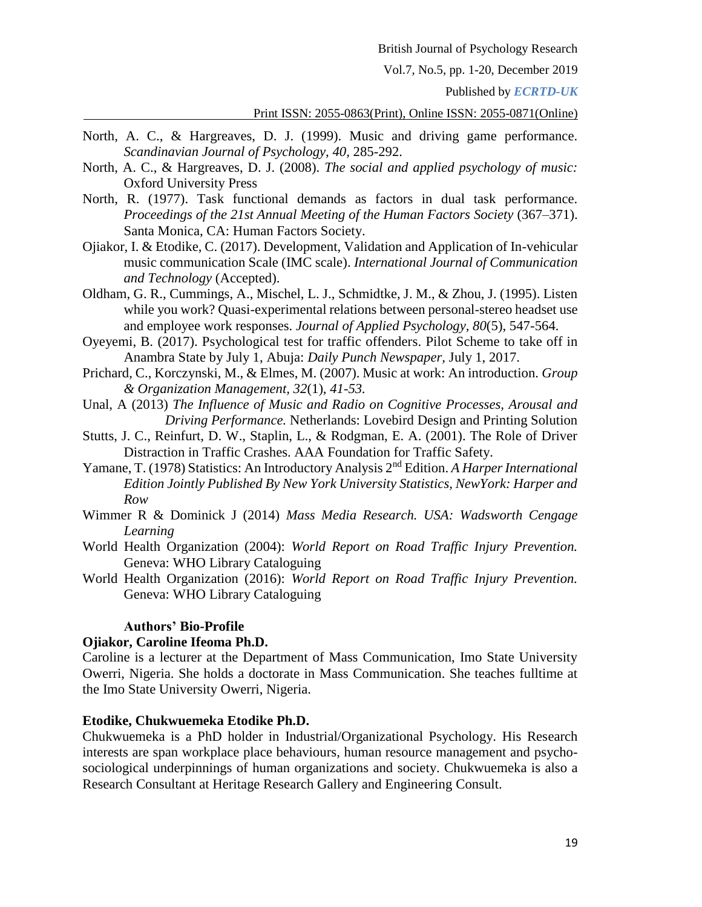Vol.7, No.5, pp. 1-20, December 2019

Published by *ECRTD-UK*

#### Print ISSN: 2055-0863(Print), Online ISSN: 2055-0871(Online)

- North, A. C., & Hargreaves, D. J. (1999). Music and driving game performance. *Scandinavian Journal of Psychology, 40,* 285-292.
- North, A. C., & Hargreaves, D. J. (2008). *The social and applied psychology of music:* Oxford University Press
- North, R. (1977). Task functional demands as factors in dual task performance. *Proceedings of the 21st Annual Meeting of the Human Factors Society* (367–371). Santa Monica, CA: Human Factors Society.
- Ojiakor, I. & Etodike, C. (2017). Development, Validation and Application of In-vehicular music communication Scale (IMC scale). *International Journal of Communication and Technology* (Accepted).
- Oldham, G. R., Cummings, A., Mischel, L. J., Schmidtke, J. M., & Zhou, J. (1995). Listen while you work? Quasi-experimental relations between personal-stereo headset use and employee work responses. *Journal of Applied Psychology, 80*(5), 547-564.
- Oyeyemi, B. (2017). Psychological test for traffic offenders. Pilot Scheme to take off in Anambra State by July 1, Abuja: *Daily Punch Newspaper,* July 1, 2017.
- Prichard, C., Korczynski, M., & Elmes, M. (2007). Music at work: An introduction. *Group & Organization Management, 32*(1), *41-53.*
- Unal, A (2013) *The Influence of Music and Radio on Cognitive Processes, Arousal and Driving Performance.* Netherlands: Lovebird Design and Printing Solution
- Stutts, J. C., Reinfurt, D. W., Staplin, L., & Rodgman, E. A. (2001). The Role of Driver Distraction in Traffic Crashes. AAA Foundation for Traffic Safety.
- Yamane, T. (1978) Statistics: An Introductory Analysis 2nd Edition. *A Harper International Edition Jointly Published By New York University Statistics, NewYork: Harper and Row*
- Wimmer R & Dominick J (2014) *Mass Media Research. USA: Wadsworth Cengage Learning*
- World Health Organization (2004): *World Report on Road Traffic Injury Prevention.* Geneva: WHO Library Cataloguing
- World Health Organization (2016): *World Report on Road Traffic Injury Prevention.* Geneva: WHO Library Cataloguing

### **Authors' Bio-Profile**

### **Ojiakor, Caroline Ifeoma Ph.D.**

Caroline is a lecturer at the Department of Mass Communication, Imo State University Owerri, Nigeria. She holds a doctorate in Mass Communication. She teaches fulltime at the Imo State University Owerri, Nigeria.

### **Etodike, Chukwuemeka Etodike Ph.D.**

Chukwuemeka is a PhD holder in Industrial/Organizational Psychology. His Research interests are span workplace place behaviours, human resource management and psychosociological underpinnings of human organizations and society. Chukwuemeka is also a Research Consultant at Heritage Research Gallery and Engineering Consult.